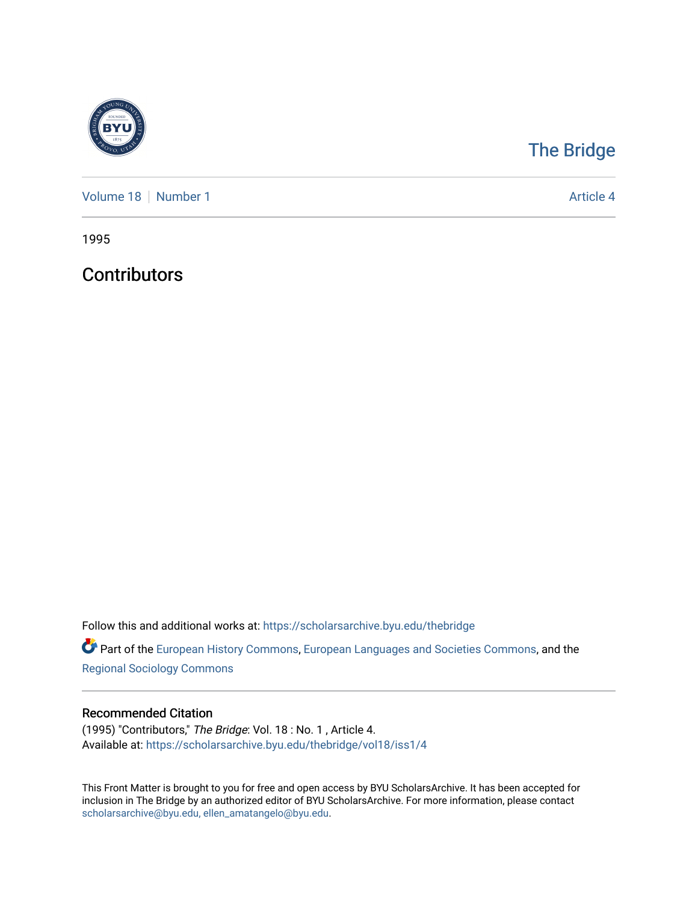

## [The Bridge](https://scholarsarchive.byu.edu/thebridge)

[Volume 18](https://scholarsarchive.byu.edu/thebridge/vol18) [Number 1](https://scholarsarchive.byu.edu/thebridge/vol18/iss1) Article 4

1995

**Contributors** 

Follow this and additional works at: [https://scholarsarchive.byu.edu/thebridge](https://scholarsarchive.byu.edu/thebridge?utm_source=scholarsarchive.byu.edu%2Fthebridge%2Fvol18%2Fiss1%2F4&utm_medium=PDF&utm_campaign=PDFCoverPages) 

**Part of the [European History Commons](http://network.bepress.com/hgg/discipline/492?utm_source=scholarsarchive.byu.edu%2Fthebridge%2Fvol18%2Fiss1%2F4&utm_medium=PDF&utm_campaign=PDFCoverPages), [European Languages and Societies Commons,](http://network.bepress.com/hgg/discipline/482?utm_source=scholarsarchive.byu.edu%2Fthebridge%2Fvol18%2Fiss1%2F4&utm_medium=PDF&utm_campaign=PDFCoverPages) and the** [Regional Sociology Commons](http://network.bepress.com/hgg/discipline/427?utm_source=scholarsarchive.byu.edu%2Fthebridge%2Fvol18%2Fiss1%2F4&utm_medium=PDF&utm_campaign=PDFCoverPages) 

## Recommended Citation

(1995) "Contributors," The Bridge: Vol. 18 : No. 1 , Article 4. Available at: [https://scholarsarchive.byu.edu/thebridge/vol18/iss1/4](https://scholarsarchive.byu.edu/thebridge/vol18/iss1/4?utm_source=scholarsarchive.byu.edu%2Fthebridge%2Fvol18%2Fiss1%2F4&utm_medium=PDF&utm_campaign=PDFCoverPages) 

This Front Matter is brought to you for free and open access by BYU ScholarsArchive. It has been accepted for inclusion in The Bridge by an authorized editor of BYU ScholarsArchive. For more information, please contact [scholarsarchive@byu.edu, ellen\\_amatangelo@byu.edu](mailto:scholarsarchive@byu.edu,%20ellen_amatangelo@byu.edu).